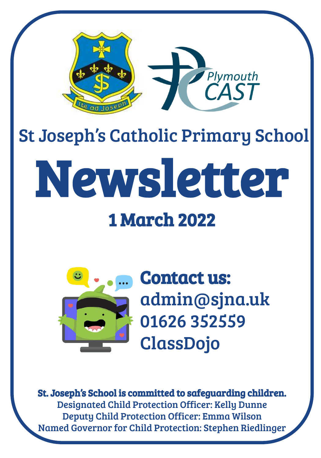

# St Joseph's Catholic Primary School Newsletter

## 1 March 2022



Contact us: admin@sjna.uk 01626 352559 ClassDojo

St. Joseph's School is committed to safeguarding children. Designated Child Protection Officer: Kelly Dunne Deputy Child Protection Officer: Emma Wilson Named Governor for Child Protection: Stephen Riedlinger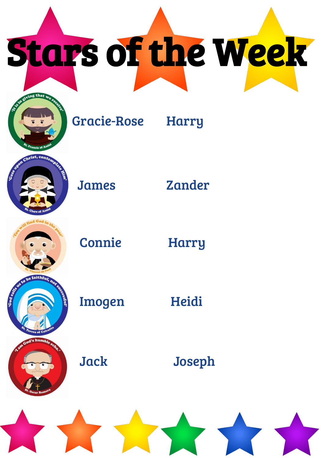Stars of the Week



Gracie-Rose Harry



James Zander



Connie Harry

Imogen Heidi

Jack Joseph

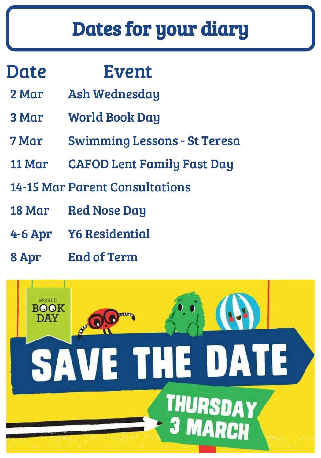# Dates for your diary

### Date Event

- 2 Mar Ash Wednesday
- 3 Mar World Book Day
- 7 Mar Swimming Lessons St Teresa
- 11 Mar CAFOD Lent Family Fast Day
- 14-15 Mar Parent Consultations
- 18 Mar Red Nose Day
- 4-6 Apr Y6 Residential
- 8 Apr End of Term

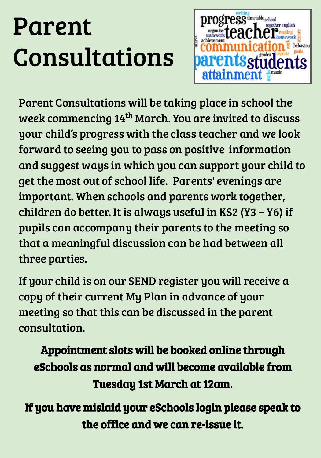# Parent Consultations



Parent Consultations will be taking place in school the week commencing 14<sup>th</sup> March. You are invited to discuss your child's progress with the class teacher and we look forward to seeing you to pass on positive information and suggest ways in which you can support your child to get the most out of school life. Parents' evenings are important. When schools and parents work together, children do better. It is always useful in KS2 (Y3 – Y6) if pupils can accompany their parents to the meeting so that a meaningful discussion can be had between all three parties.

If your child is on our SEND register you will receive a copy of their current My Plan in advance of your meeting so that this can be discussed in the parent consultation.

Appointment slots will be booked online through eSchools as normal and will become available from Tuesday 1st March at 12am.

If you have mislaid your eSchools login please speak to the office and we can re-issue it.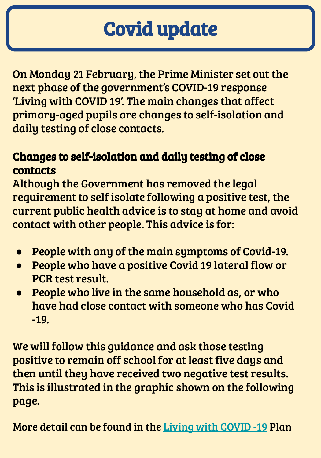# Covid update

On Monday 21 February, the Prime Minister set out the next phase of the government's COVID-19 response 'Living with COVID 19'. The main changes that affect primary-aged pupils are changes to self-isolation and daily testing of close contacts.

#### Changes to self-isolation and daily testing of close contacts

Although the Government has removed the legal requirement to self isolate following a positive test, the current public health advice is to stay at home and avoid contact with other people. This advice is for:

- People with any of the main symptoms of Covid-19.
- People who have a positive Covid 19 lateral flow or PCR test result.
- People who live in the same household as, or who have had close contact with someone who has Covid -19.

We will follow this guidance and ask those testing positive to remain off school for at least five days and then until they have received two negative test results. This is illustrated in the graphic shown on the following page.

More detail can be found in the [Living with COVID -19](https://www.gov.uk/government/publications/covid-19-response-living-with-covid-19) Plan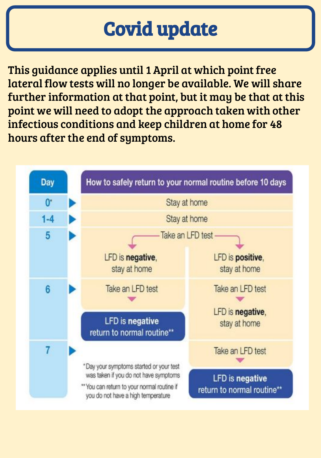# Covid update

This guidance applies until 1 April at which point free lateral flow tests will no longer be available. We will share further information at that point, but it may be that at this point we will need to adopt the approach taken with other infectious conditions and keep children at home for 48 hours after the end of symptoms.

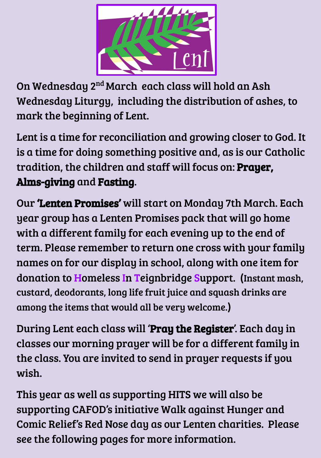

On Wednesday 2nd March each class will hold an Ash Wednesday Liturgy, including the distribution of ashes, to mark the beginning of Lent.

Lent is a time for reconciliation and growing closer to God. It is a time for doing something positive and, as is our Catholic tradition, the children and staff will focus on: Prayer, Alms-giving and Fasting.

Our 'Lenten Promises' will start on Monday 7th March. Each year group has a Lenten Promises pack that will go home with a different family for each evening up to the end of term. Please remember to return one cross with your family names on for our display in school, along with one item for donation to Homeless In Teignbridge Support. (Instant mash, custard, deodorants, long life fruit juice and squash drinks are among the items that would all be very welcome.)

During Lent each class will 'Pray the Register'. Each day in classes our morning prayer will be for a different family in the class. You are invited to send in prayer requests if you wish.

This year as well as supporting HITS we will also be supporting CAFOD's initiative Walk against Hunger and Comic Relief's Red Nose day as our Lenten charities. Please see the following pages for more information.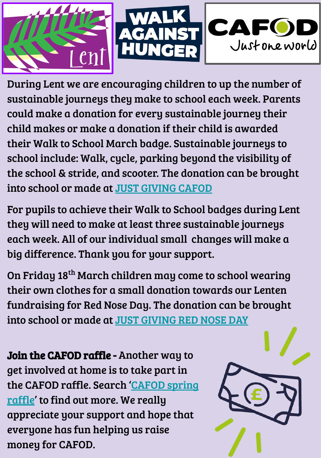

During Lent we are encouraging children to up the number of sustainable journeys they make to school each week. Parents could make a donation for every sustainable journey their child makes or make a donation if their child is awarded their Walk to School March badge. Sustainable journeys to school include: Walk, cycle, parking beyond the visibility of the school & stride, and scooter. The donation can be brought into school or made at [JUST GIVING CAFOD](https://trk.justgiving.com/f/a/hTBR53EllR2jJyL41wwbMQ~~/AAME8QA~/RgRkAJMiP4QEAWh0dHBzOi8vd3d3Lmp1c3RnaXZpbmcuY29tL3BhZ2Uvc3Qtam9zZXBocy1jYXRob2xpYy1wcmltYXJ5LXNjaG9vbC0xNjQ2MTM2ODc1MDYwLWNhZm9kP3V0bV9jYW1wYWlnbj1sY19mcnBfc2hhcmVfdHJhbnNhY3Rpb25fZnVuZHJhaXNlcl9wYWdlX2xhdW5jaGVkJnV0bV9jb250ZW50PTg4MTQ1NWQzLTkyYzktNDY2Ny04OTMwLTAzMmRlNzVmZjhjNiZ1dG1fbWVkaXVtPWVtYWlsJnV0bV9zb3VyY2U9cG9zdG9mZmljZSZ1dG1fdGVybT0xNjQ2MTM2ODY1MjE1VwNzcGNCCmIWIg4eYofleDpSDWFkbWluQHNqbmEudWtYBAAAAAM~)

For pupils to achieve their Walk to School badges during Lent they will need to make at least three sustainable journeys each week. All of our individual small changes will make a big difference. Thank you for your support.

On Friday 18th March children may come to school wearing their own clothes for a small donation towards our Lenten fundraising for Red Nose Day. The donation can be brought into school or made at [JUST GIVING RED NOSE DAY](https://trk.justgiving.com/f/a/Lae07_Pec-aByRTvv_uYRQ~~/AAME8QA~/RgRkAJS-P4QWAWh0dHBzOi8vd3d3Lmp1c3RnaXZpbmcuY29tL2Z1bmRyYWlzaW5nL1N0LUpvc2VwaC1zLUNhdGhvbGljLVByaW1hcnktU2Nob29sNC1yZWRub3NlZGF5P3V0bV9jYW1wYWlnbj1sY19mcnBfc2hhcmVfdHJhbnNhY3Rpb25fdHJhbnNhY3Rpb25hbF8tLV9wYWdlX2xhdW5jaGVkXy0tX2NhbXBhaWduJnV0bV9jb250ZW50PTUxYjY4NmU0LWZkNmQtNGRiZi1iYWQzLTZiNWJlNzQwMDBkZSZ1dG1fbWVkaXVtPWVtYWlsJnV0bV9zb3VyY2U9cG9zdG9mZmljZSZ1dG1fdGVybT0xNjQ2MTM3Mjc2NjMyVwNzcGNCCmIWvg8eYnxt20xSDWFkbWluQHNqbmEudWtYBAAAAAM~)

Join the CAFOD raffle - Another way to get involved at home is to take part in the CAFOD raffle. Search ['CAFOD spring](https://cafod.org.uk/Give/Spring-Raffle) [raffle](https://cafod.org.uk/Give/Spring-Raffle)' to find out more. We really appreciate your support and hope that everyone has fun helping us raise money for CAFOD.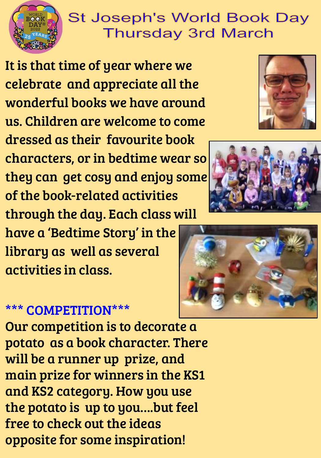

#### **St Joseph's World Book Day Thursday 3rd March**

It is that time of year where we celebrate and appreciate all the wonderful books we have around us. Children are welcome to come dressed as their favourite book characters, or in bedtime wear so they can get cosy and enjoy some of the book-related activities through the day. Each class will

have a 'Bedtime Story' in the library as well as several activities in class.







#### \*\*\* COMPETITION\*\*\*

Our competition is to decorate a potato as a book character. There will be a runner up prize, and main prize for winners in the KS1 and KS2 category. How you use the potato is up to you….but feel free to check out the ideas opposite for some inspiration!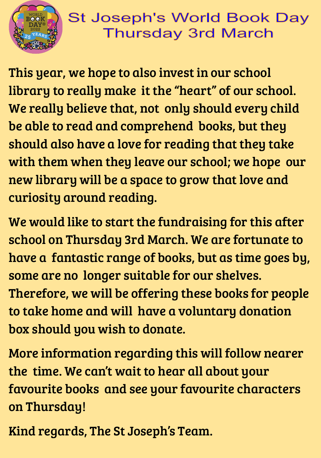

#### **St Joseph's World Book Day Thursday 3rd March**

This year, we hope to also invest in our school library to really make it the "heart" of our school. We really believe that, not only should every child be able to read and comprehend books, but they should also have a love for reading that they take with them when they leave our school; we hope our new library will be a space to grow that love and curiosity around reading.

We would like to start the fundraising for this after school on Thursday 3rd March. We are fortunate to have a fantastic range of books, but as time goes by, some are no longer suitable for our shelves. Therefore, we will be offering these books for people to take home and will have a voluntary donation box should you wish to donate.

More information regarding this will follow nearer the time. We can't wait to hear all about your favourite books and see your favourite characters on Thursday!

Kind regards, The St Joseph's Team.